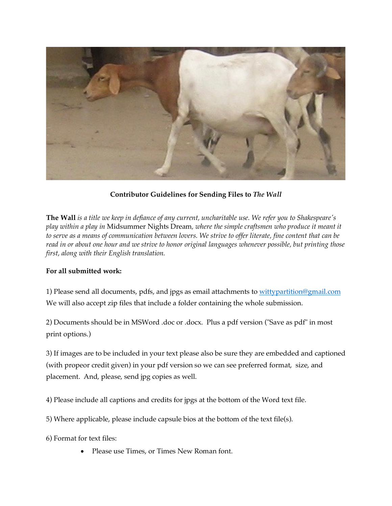

**Contributor Guidelines for Sending Files to** *The Wall*

**The Wall** *is a title we keep in defiance of any current, uncharitable use. We refer you to Shakespeare's play within a play in* Midsummer Nights Dream*, where the simple craftsmen who produce it meant it to serve as a means of communication between lovers. We strive to offer literate, fine content that can be read in or about one hour and we strive to honor original languages whenever possible, but printing those first, along with their English translation.*

## **For all submitted work:**

1) Please send all documents, pdfs, and jpgs as email attachments to wittypartition@gmail.com We will also accept zip files that include a folder containing the whole submission.

2) Documents should be in MSWord .doc or .docx. Plus a pdf version ("Save as pdf" in most print options.)

3) If images are to be included in your text please also be sure they are embedded and captioned (with propeor credit given) in your pdf version so we can see preferred format, size, and placement. And, please, send jpg copies as well.

4) Please include all captions and credits for jpgs at the bottom of the Word text file.

- 5) Where applicable, please include capsule bios at the bottom of the text file(s).
- 6) Format for text files:
	- Please use Times, or Times New Roman font.